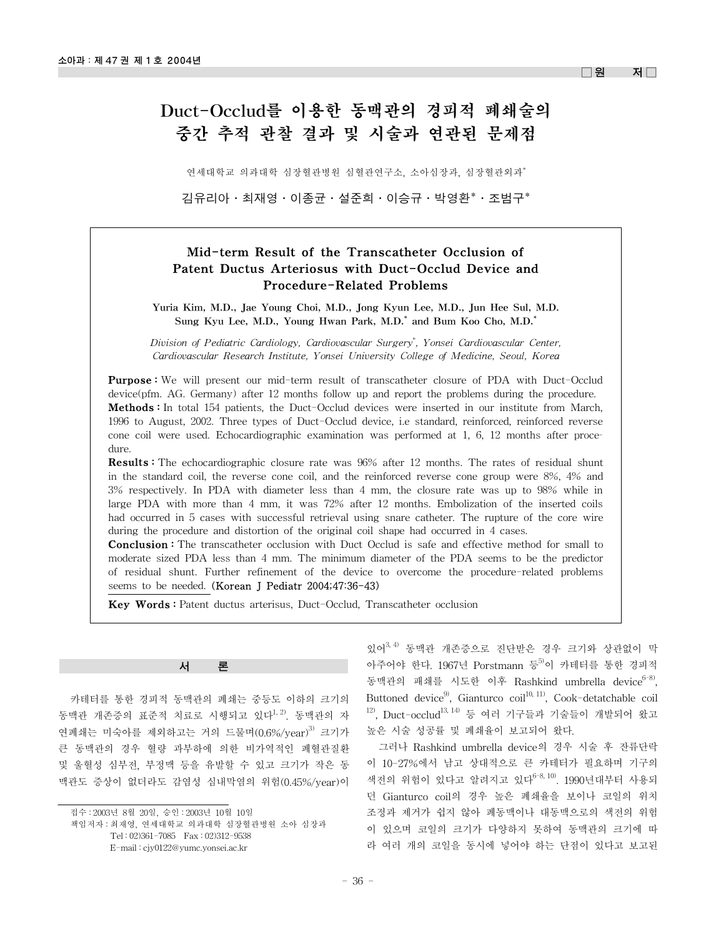#### $\Box$ 워 저 $\Box$

# Duct-Occlud를 이용한 동맥관의 경피적 폐쇄술의 중간 추적 관찰 결과 및 시술과 연관된 문제점

연세대학교 의과대학 심장혈관병원 심혈관연구소, 소아심장과, 심장혈관외과\*

김유리아·최재영·이종균·설준희·이승규·박영환\*·조범구\*

## Mid-term Result of the Transcatheter Occlusion of Patent Ductus Arteriosus with Duct-Occlud Device and Procedure-Related Problems

Yuria Kim, M.D., Jae Young Choi, M.D., Jong Kyun Lee, M.D., Jun Hee Sul, M.D. Sung Kyu Lee, M.D., Young Hwan Park, M.D.\* and Bum Koo Cho, M.D.\*

*Division of Pediatric Cardiology, Cardiovascular Surgery\* , Yonsei Cardiovascular Center, Cardiovascular Research Institute, Yonsei University College of Medicine, Seoul, Korea*

**Purpose:** We will present our mid-term result of transcatheter closure of PDA with Duct-Occlud device(pfm. AG. Germany) after 12 months follow up and report the problems during the procedure. Methods : In total 154 patients, the Duct-Occlud devices were inserted in our institute from March, 1996 to August, 2002. Three types of Duct-Occlud device, i.e standard, reinforced, reinforced reverse cone coil were used. Echocardiographic examination was performed at 1, 6, 12 months after procedure.

Results : The echocardiographic closure rate was 96% after 12 months. The rates of residual shunt in the standard coil, the reverse cone coil, and the reinforced reverse cone group were 8%, 4% and 3% respectively. In PDA with diameter less than 4 mm, the closure rate was up to 98% while in large PDA with more than 4 mm, it was 72% after 12 months. Embolization of the inserted coils had occurred in 5 cases with successful retrieval using snare catheter. The rupture of the core wire during the procedure and distortion of the original coil shape had occurred in 4 cases.

**Conclusion :** The transcatheter occlusion with Duct Occlud is safe and effective method for small to moderate sized PDA less than 4 mm. The minimum diameter of the PDA seems to be the predictor of residual shunt. Further refinement of the device to overcome the procedure-related problems seems to be needed. (Korean J Pediatr 2004;47:36-43)

Key Words : Patent ductus arterisus, Duct-Occlud, Transcatheter occlusion

서

카테터를 통한 경피적 동맥관의 폐쇄는 중등도 이하의 크기의 동맥관 개존증의 표준적 치료로 시행되고 있다<sup>1,2)</sup>. 동맥관의 자 연폐쇄는 미숙아를 제외하고는 거의 드물며 $(0.6\%/year)$ <sup>3)</sup> 크기가 큰 동맥관의 경우 혈량 과부하에 의한 비가역적인 폐혈관질환 및 울혈성 심부전, 부정맥 등을 유발할 수 있고 크기가 작은 동 맥관도 증상이 없더라도 감염성 심내막염의 위험(0.45%/year)이

접수 : 2003년 8월 20일, 승인 : 2003년 10월 10일

책임저자 : 최재영, 연세대학교 의과대학 심장혈관병원 소아 심장과 Tel : 02)361-7085 Fax : 02)312-9538 E-mail : cjy0122@yumc.yonsei.ac.kr

있어3, 4) 동맥관 개존증으로 진단받은 경우 크기와 상관없이 막 아주어야 한다. 1967년 Porstmann 등<sup>5)</sup>이 카테터를 통한 경피적 동맥관의 패쇄를 시도한 이후 Rashkind umbrella device<sup>6-8)</sup>, Buttoned device<sup>9)</sup>, Gianturco coil<sup>10, 11)</sup>, Cook-detatchable coil  $12$ ), Duct-occlud $13, 14$ ) 등 여러 기구들과 기술들이 개발되어 왔고 높은 시술 성공률 및 폐쇄율이 보고되어 왔다.

그러나 Rashkind umbrella device의 경우 시술 후 잔류단락 이 10-27%에서 남고 상대적으로 큰 카테터가 필요하며 기구의 색전의 위험이 있다고 알려지고 있다 $^{6-8, 10)}$ . 1990년대부터 사용되 던 Gianturco coil의 경우 높은 폐쇄율을 보이나 코일의 위치 조정과 제거가 쉽지 않아 폐동맥이나 대동맥으로의 색전의 위험 이 있으며 코일의 크기가 다양하지 못하여 동맥관의 크기에 따 라 여러 개의 코일을 동시에 넣어야 하는 단점이 있다고 보고된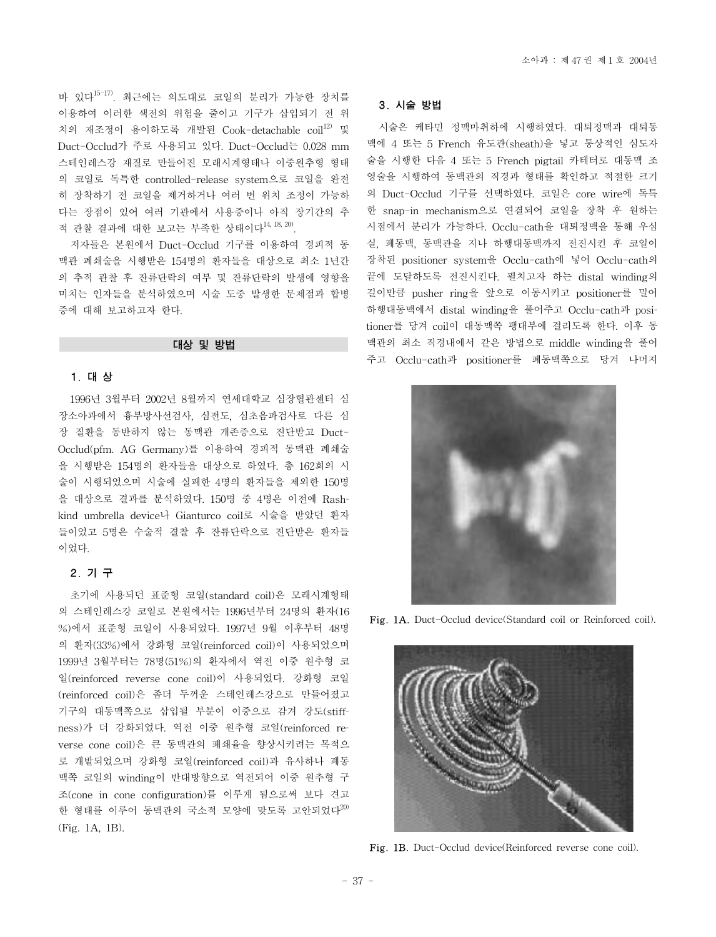바 있다15-17). 최근에는 의도대로 코일의 분리가 가능한 장치를 이용하여 이러한 색전의 위험을 줄이고 기구가 삽입되기 전 위 치의 재조정이 용이하도록 개발된 Cook-detachable coil<sup>12)</sup> 및 Duct-Occlud가 주로 사용되고 있다. Duct-Occlud는 0.028 mm 스테인레스강 재질로 만들어진 모래시계형태나 이중원추형 형태 의 코일로 독특한 controlled-release system으로 코일을 완전 히 장착하기 전 코일을 제거하거나 여러 번 위치 조정이 가능하 다는 장점이 있어 여러 기관에서 사용중이나 아직 장기간의 추 적 관찰 결과에 대한 보고는 부족한 상태이다14, 18, 20).

저자들은 본원에서 Duct-Occlud 기구를 이용하여 경피적 동 맥관 폐쇄술을 시행받은 154명의 환자들을 대상으로 최소 1년간 의 추적 관찰 후 잔류단락의 여부 및 잔류단락의 발생에 영향을 미치는 인자들을 분석하였으며 시술 도중 발생한 문제점과 합병 증에 대해 보고하고자 한다.

#### 대상 및 방법

#### 1. 대 상

1996년 3월부터 2002년 8월까지 연세대학교 심장혈관센터 심 장소아과에서 흉부방사선검사, 심전도, 심초음파검사로 다른 심 장 질환을 동반하지 않는 동맥관 개존증으로 진단받고 Duct-Occlud(pfm. AG Germany)를 이용하여 경피적 동맥관 폐쇄술 을 시행받은 154명의 환자들을 대상으로 하였다. 총 162회의 시 술이 시행되었으며 시술에 실패한 4명의 환자들을 제외한 150명 을 대상으로 결과를 분석하였다. 150명 중 4명은 이전에 Rashkind umbrella device나 Gianturco coil로 시술을 받았던 환자 들이었고 5명은 수술적 결찰 후 잔류단락으로 진단받은 환자들 이었다.

## 2. 기 구

초기에 사용되던 표준형 코일(standard coil)은 모래시계형태 의 스테인레스강 코일로 본원에서는 1996년부터 24명의 환자(16 %)에서 표준형 코일이 사용되었다. 1997년 9월 이후부터 48명 의 환자(33%)에서 강화형 코일(reinforced coil)이 사용되었으며 1999년 3월부터는 78명(51%)의 환자에서 역전 이중 원추형 코 일(reinforced reverse cone coil)이 사용되었다. 강화형 코일 (reinforced coil)은 좀더 두꺼운 스테인레스강으로 만들어졌고 기구의 대동맥쪽으로 삽입될 부분이 이중으로 감겨 강도(stiffness)가 더 강화되었다. 역전 이중 원추형 코일(reinforced reverse cone coil)은 큰 동맥관의 폐쇄율을 향상시키려는 목적으 로 개발되었으며 강화형 코일(reinforced coil)과 유사하나 폐동 맥쪽 코일의 winding이 반대방향으로 역전되어 이중 원추형 구 조(cone in cone configuration)를 이루게 됨으로써 보다 견고 한 형태를 이루어 동맥관의 국소적 모양에 맞도록 고안되었다<sup>20)</sup> (Fig. 1A, 1B).

## 3. 시술 방법

시술은 케타민 정맥마취하에 시행하였다. 대퇴정맥과 대퇴동 맥에 4 또는 5 French 유도관(sheath)을 넣고 통상적인 심도자 술을 시행한 다음 4 또는 5 French pigtail 카테터로 대동맥 조 영술을 시행하여 동맥관의 직경과 형태를 확인하고 적절한 크기 의 Duct-Occlud 기구를 선택하였다. 코일은 core wire에 독특 한 snap-in mechanism으로 연결되어 코일을 장착 후 원하는 시점에서 분리가 가능하다. Occlu-cath을 대퇴정맥을 통해 우심 실, 폐동맥, 동맥관을 지나 하행대동맥까지 전진시킨 후 코일이 장착된 positioner system을 Occlu-cath에 넣어 Occlu-cath의 끝에 도달하도록 전진시킨다. 펼치고자 하는 distal winding의 길이만큼 pusher ring을 앞으로 이동시키고 positioner를 밀어 하행대동맥에서 distal winding을 풀어주고 Occlu-cath과 positioner를 당겨 coil이 대동맥쪽 팽대부에 걸리도록 한다. 이후 동 맥관의 최소 직경내에서 같은 방법으로 middle winding을 풀어 주고 Occlu-cath과 positioner를 폐동맥쪽으로 당겨 나머지



Fig. 1A. Duct-Occlud device(Standard coil or Reinforced coil).



Fig. 1B. Duct-Occlud device(Reinforced reverse cone coil).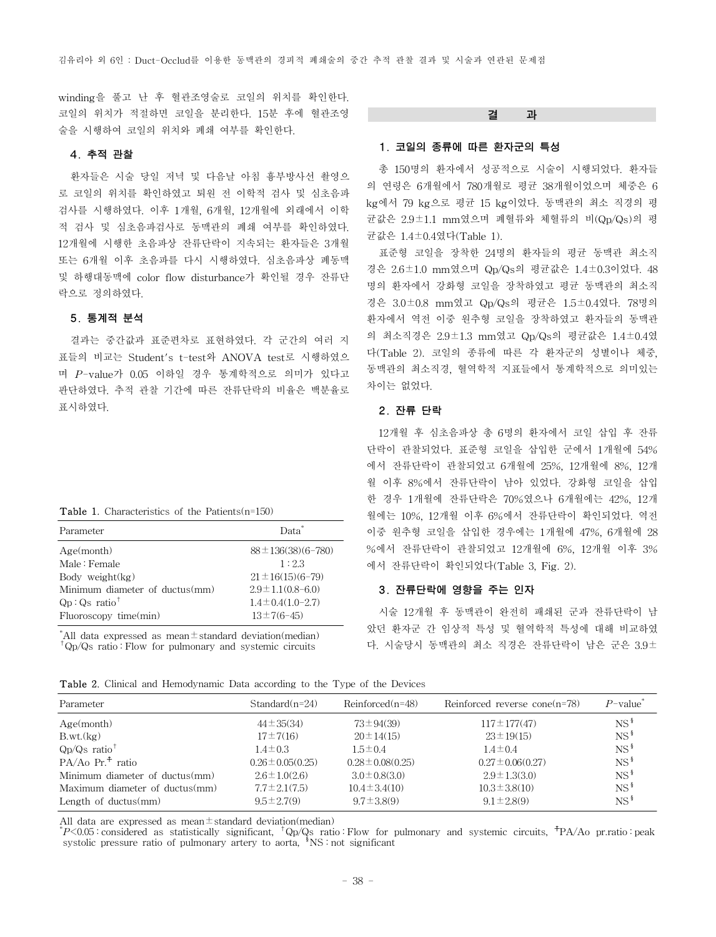winding을 풀고 난 후 혈관조영술로 코일의 위치를 확인한다. 코일의 위치가 적절하면 코일을 분리한다. 15분 후에 혈관조영 술을 시행하여 코일의 위치와 폐쇄 여부를 확인한다.

#### 4. 추적 관찰

환자들은 시술 당일 저녁 및 다음날 아침 흉부방사선 촬영으 로 코일의 위치를 확인하였고 퇴원 전 이학적 검사 및 심초음파 검사를 시행하였다. 이후 1개월, 6개월, 12개월에 외래에서 이학 적 검사 및 심초음파검사로 동맥관의 폐쇄 여부를 확인하였다. 12개월에 시행한 초음파상 잔류단락이 지속되는 환자들은 3개월 또는 6개월 이후 초음파를 다시 시행하였다. 심초음파상 폐동맥 및 하행대동맥에 color flow disturbance가 확인될 경우 잔류단 락으로 정의하였다.

## 5. 통계적 분석

결과는 중간값과 표준편차로 표현하였다. 각 군간의 여러 지 표들의 비교는 Student's t-test와 ANOVA test로 시행하였으 며 *P*-value가 0.05 이하일 경우 통계학적으로 의미가 있다고 판단하였다. 추적 관찰 기간에 따른 잔류단락의 비율은 백분율로 표시하였다.

| <b>Table 1.</b> Characteristics of the Patients( $n=150$ ) |
|------------------------------------------------------------|
|------------------------------------------------------------|

| Parameter                      | Data <sup>*</sup>         |
|--------------------------------|---------------------------|
| Age(month)                     | $88 \pm 136(38)(6 - 780)$ |
| Male: Female                   | 1:2.3                     |
| Body weight $(kg)$             | $21 \pm 16(15)(6-79)$     |
| Minimum diameter of ductus(mm) | $2.9 \pm 1.1(0.8 - 6.0)$  |
| $Qp:Qs$ ratio <sup>†</sup>     | $1.4 \pm 0.4(1.0 - 2.7)$  |
| Fluoroscopy time(min)          | $13 \pm 7(6 - 45)$        |

\* All data expressed as mean±standard deviation(median)  $^{\dagger}$ Qp/Qs ratio : Flow for pulmonary and systemic circuits

#### 결 과

## 1. 코일의 종류에 따른 환자군의 특성

총 150명의 환자에서 성공적으로 시술이 시행되었다. 환자들 의 연령은 6개월에서 780개월로 평균 38개월이었으며 체중은 6 kg에서 79 kg으로 평균 15 kg이었다. 동맥관의 최소 직경의 평 균값은 2.9±1.1 mm였으며 폐혈류와 체혈류의 비(Qp/Qs)의 평 균값은 1.4±0.4였다(Table 1).

표준형 코일을 장착한 24명의 환자들의 평균 동맥관 최소직 경은 2.6±1.0 mm였으며 Qp/Qs의 평균값은 1.4±0.3이었다. 48 명의 환자에서 강화형 코일을 장착하였고 평균 동맥관의 최소직 경은 3.0±0.8 mm였고 Qp/Qs의 평균은 1.5±0.4였다. 78명의 환자에서 역전 이중 원추형 코일을 장착하였고 환자들의 동맥관 의 최소직경은 2.9±1.3 mm였고 Qp/Qs의 평균값은 1.4±0.4였 다(Table 2). 코일의 종류에 따른 각 환자군의 성별이나 체중, 동맥관의 최소직경, 혈역학적 지표들에서 통계학적으로 의미있는 차이는 없었다.

## 2. 잔류 단락

12개월 후 심초음파상 총 6명의 환자에서 코일 삽입 후 잔류 단락이 관찰되었다. 표준형 코일을 삽입한 군에서 1개월에 54% 에서 잔류단락이 관찰되었고 6개월에 25%, 12개월에 8%, 12개 월 이후 8%에서 잔류단락이 남아 있었다. 강화형 코일을 삽입 한 경우 1개월에 잔류단락은 70%였으나 6개월에는 42%, 12개 월에는 10%, 12개월 이후 6%에서 잔류단락이 확인되었다. 역전 이중 원추형 코일을 삽입한 경우에는 1개월에 47%, 6개월에 28 %에서 잔류단락이 관찰되었고 12개월에 6%, 12개월 이후 3% 에서 잔류단락이 확인되었다(Table 3, Fig. 2).

#### 3. 잔류단락에 영향을 주는 인자

시술 12개월 후 동맥관이 완전히 패쇄된 군과 잔류단락이 남 았던 환자군 간 임상적 특성 및 혈역학적 특성에 대해 비교하였 다. 시술당시 동맥관의 최소 직경은 잔류단락이 남은 군은 3.9±

|  |  |  | <b>Table 2.</b> Clinical and Hemodynamic Data according to the Type of the Devices |  |  |  |  |  |  |  |  |
|--|--|--|------------------------------------------------------------------------------------|--|--|--|--|--|--|--|--|
|--|--|--|------------------------------------------------------------------------------------|--|--|--|--|--|--|--|--|

| Parameter                      | $Standard(n=24)$      | $Reinforced(n=48)$    | Reinforced reverse cone $(n=78)$ | $P$ -value <sup>*</sup> |
|--------------------------------|-----------------------|-----------------------|----------------------------------|-------------------------|
| Age(month)                     | $44 \pm 35(34)$       | $73 \pm 94(39)$       | $117 \pm 177(47)$                | NS <sup>§</sup>         |
| B.wt.(kg)                      | $17 \pm 7(16)$        | $20 \pm 14(15)$       | $23 \pm 19(15)$                  | $NS^{\frac{8}{3}}$      |
| $Qp/Qs$ ratio <sup>†</sup>     | $1.4 \pm 0.3$         | $1.5 \pm 0.4$         | $1.4 \pm 0.4$                    | $NS^{\frac{8}{3}}$      |
| $PA/Ao\ Pr.+ ratio$            | $0.26 \pm 0.05(0.25)$ | $0.28 \pm 0.08(0.25)$ | $0.27 \pm 0.06(0.27)$            | $NS^{\frac{8}{3}}$      |
| Minimum diameter of ductus(mm) | $2.6 \pm 1.0(2.6)$    | $3.0 \pm 0.8(3.0)$    | $2.9 \pm 1.3(3.0)$               | $NS^{\frac{8}{3}}$      |
| Maximum diameter of ductus(mm) | $7.7 \pm 2.1(7.5)$    | $10.4 \pm 3.4(10)$    | $10.3 \pm 3.8(10)$               | $NS^{\frac{8}{3}}$      |
| Length of ductus $(mm)$        | $9.5 \pm 2.7(9)$      | $9.7 \pm 3.8(9)$      | $9.1 \pm 2.8(9)$                 | $NS^{\frac{8}{3}}$      |

All data are expressed as mean $\pm$ standard deviation(median)

\* *P*<0.05 : considered as statistically significant, †Qp/Qs ratio : Flow for pulmonary and systemic circuits, ☨PA/Ao pr.ratio : peak systolic pressure ratio of pulmonary artery to aorta,  $\mathrm{sNS}$  : not significant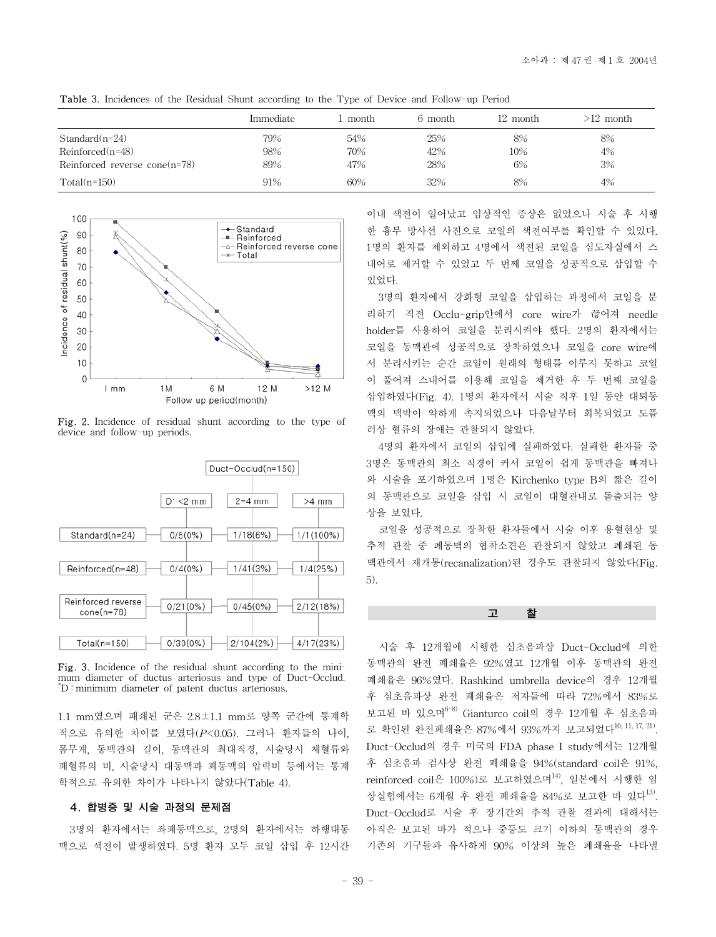|                                  | Immediate | month | 6 month | 12 month | >12 month |
|----------------------------------|-----------|-------|---------|----------|-----------|
| $Standard(n=24)$                 | 79%       | 54%   | 25%     | 8%       | 8%        |
| $Reinforced(n=48)$               | 98%       | 70%   | 42%     | 10%      | 4%        |
| Reinforced reverse cone $(n=78)$ | 89%       | 47%   | 28%     | 6%       | 3%        |
| $Total(n=150)$                   | 91%       | 60%   | 32%     | 8%       | 4%        |

Table 3. Incidences of the Residual Shunt according to the Type of Device and Follow-up Period



Fig. 2. Incidence of residual shunt according to the type of device and follow-up periods.



Fig. 3. Incidence of the residual shunt according to the minimum diameter of ductus arteriosus and type of Duct-Occlud. \* D : minimum diameter of patent ductus arteriosus.

1.1 mm였으며 패쇄된 군은 2.8±1.1 mm로 양쪽 군간에 통계학 적으로 유의한 차이를 보였다(*P*<0.05). 그러나 환자들의 나이, 몸무게, 동맥관의 길이, 동맥관의 최대직경, 시술당시 체혈류와 폐혈류의 비, 시술당시 대동맥과 폐동맥의 압력비 등에서는 통계 학적으로 유의한 차이가 나타나지 않았다(Table 4).

### 4. 합병증 및 시술 과정의 문제점

3명의 환자에서는 좌폐동맥으로, 2명의 환자에서는 하행대동 맥으로 색전이 발생하였다. 5명 환자 모두 코일 삽입 후 12시간 이내 색전이 일어났고 임상적인 증상은 없었으나 시술 후 시행 한 흉부 방사선 사진으로 코일의 색전여부를 확인할 수 있었다. 1명의 환자를 제외하고 4명에서 색전된 코일을 심도자실에서 스 내어로 제거할 수 있었고 두 번째 코일을 성공적으로 삽입할 수 있었다.

3명의 환자에서 강화형 코일을 삽입하는 과정에서 코일을 분 리하기 직전 Occlu-grip안에서 core wire가 끊어져 needle holder를 사용하여 코일을 분리시켜야 했다. 2명의 환자에서는 코일을 동맥관에 성공적으로 장착하였으나 코일을 core wire에 서 분리시키는 순간 코일이 원래의 형태를 이루지 못하고 코일 이 풀어져 스내어를 이용해 코일을 제거한 후 두 번째 코일을 삽입하였다(Fig. 4). 1명의 환자에서 시술 직후 1일 동안 대퇴동 맥의 맥박이 약하게 촉지되었으나 다음날부터 회복되었고 도플 러상 혈류의 장애는 관찰되지 않았다.

4명의 환자에서 코일의 삽입에 실패하였다. 실패한 환자들 중 3명은 동맥관의 최소 직경이 커서 코일이 쉽게 동맥관을 빠져나 와 시술을 포기하였으며 1명은 Kirchenko type B의 짧은 길이 의 동맥관으로 코일을 삽입 시 코일이 대혈관내로 돌출되는 양 상을 보였다.

코일을 성공적으로 장착한 환자들에서 시술 이후 용혈현상 및 추적 관찰 중 폐동맥의 협착소견은 관찰되지 않았고 폐쇄된 동 맥관에서 재개통(recanalization)된 경우도 관찰되지 않았다(Fig. 5).

고 찰

시술 후 12개월에 시행한 심초음파상 Duct-Occlud에 의한 동맥관의 완전 폐쇄율은 92%였고 12개월 이후 동맥관의 완전 폐쇄율은 96%였다. Rashkind umbrella device의 경우 12개월 후 심초음파상 완전 폐쇄율은 저자들에 따라 72%에서 83%로 보고된 바 있으며6-8) Gianturco coil의 경우 12개월 후 심초음파 로 확인된 완전폐쇄율은 87%에서 93%까지 보고되었다10, 11, 17, 21). Duct-Occlud의 경우 미국의 FDA phase I study에서는 12개월 후 심초음파 검사상 완전 폐쇄율을 94%(standard coil은 91%,  $reinforced$   $\coil$ 은  $100\%$ )로 보고하였으며 $^{14}$ , 일본에서 시행한 임 상실험에서는 6개월 후 완전 폐쇄율을 84%로 보고한 바 있다 $^{13}$ . Duct-Occlud로 시술 후 장기간의 추적 관찰 결과에 대해서는 아직은 보고된 바가 적으나 중등도 크기 이하의 동맥관의 경우 기존의 기구들과 유사하게 90% 이상의 높은 폐쇄율을 나타낼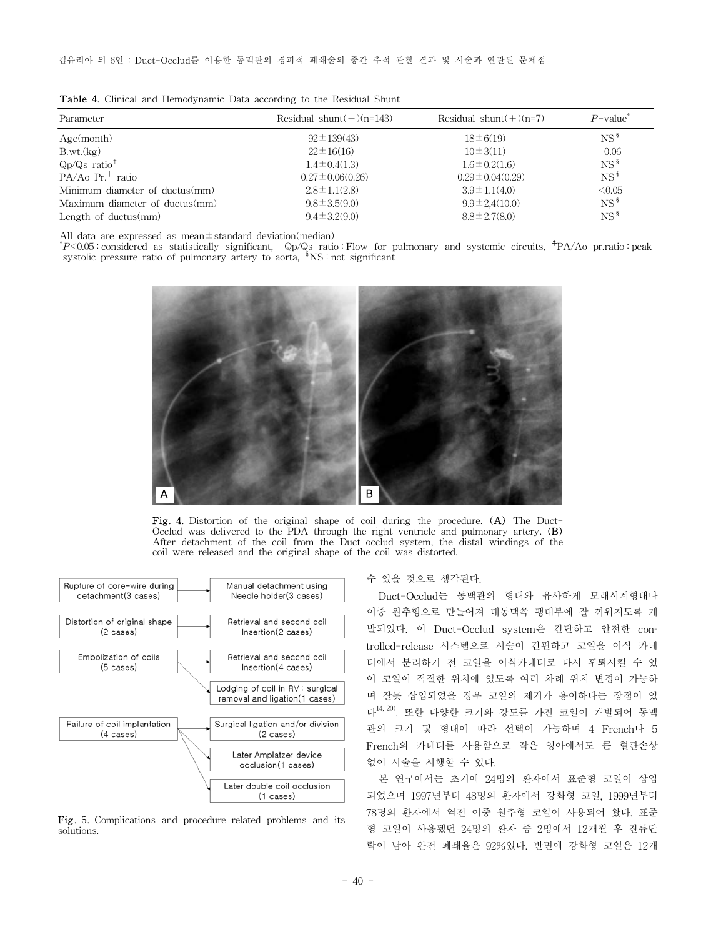| Parameter                      | Residual shunt $(-)(n=143)$ | Residual shunt $(+)(n=7)$ | $P$ -value <sup>*</sup> |
|--------------------------------|-----------------------------|---------------------------|-------------------------|
| Age(month)                     | $92 \pm 139(43)$            | $18 \pm 6(19)$            | $NS^{\frac{8}{3}}$      |
| B.wt.(kg)                      | $22 \pm 16(16)$             | $10\pm 3(11)$             | 0.06                    |
| $Q_D/Q_S$ ratio <sup>†</sup>   | $1.4 \pm 0.4(1.3)$          | $1.6 \pm 0.2(1.6)$        | $NS^{\frac{8}{3}}$      |
| $PA/Ao\ Pr.+ ratio$            | $0.27 \pm 0.06(0.26)$       | $0.29 \pm 0.04(0.29)$     | $NS^{\frac{8}{3}}$      |
| Minimum diameter of ductus(mm) | $2.8 \pm 1.1(2.8)$          | $3.9 \pm 1.1(4.0)$        | < 0.05                  |
| Maximum diameter of ductus(mm) | $9.8 \pm 3.5(9.0)$          | $9.9 \pm 2.4(10.0)$       | $NS^{\frac{8}{3}}$      |
| Length of ductus $(mm)$        | $9.4 \pm 3.2(9.0)$          | $8.8 \pm 2.7(8.0)$        | $NS^{\frac{8}{3}}$      |
|                                |                             |                           |                         |

Table 4. Clinical and Hemodynamic Data according to the Residual Shunt

All data are expressed as mean $\pm$ standard deviation(median)

\* *P*<0.05 : considered as statistically significant, †Qp/Qs ratio : Flow for pulmonary and systemic circuits, ☨PA/Ao pr.ratio : peak systolic pressure ratio of pulmonary artery to aorta,  $\frac{1}{3}NS : not significant$ 



Fig. 4. Distortion of the original shape of coil during the procedure. (A) The Duct-Occlud was delivered to the PDA through the right ventricle and pulmonary artery. (B) After detachment of the coil from the Duct-occlud system, the distal windings of the coil were released and the original shape of the coil was distorted.



Fig. 5. Complications and procedure-related problems and its solutions.

#### 수 있을 것으로 생각된다.

Duct-Occlud는 동맥관의 형태와 유사하게 모래시계형태나 이중 원추형으로 만들어져 대동맥쪽 팽대부에 잘 끼워지도록 개 발되었다. 이 Duct-Occlud system은 간단하고 안전한 controlled-release 시스템으로 시술이 간편하고 코일을 이식 카테 터에서 분리하기 전 코일을 이식카테터로 다시 후퇴시킬 수 있 어 코일이 적절한 위치에 있도록 여러 차례 위치 변경이 가능하 며 잘못 삽입되었을 경우 코일의 제거가 용이하다는 장점이 있 다14, 20). 또한 다양한 크기와 강도를 가진 코일이 개발되어 동맥 관의 크기 및 형태에 따라 선택이 가능하며 4 French나 5 French의 카테터를 사용함으로 작은 영아에서도 큰 혈관손상 없이 시술을 시행할 수 있다.

본 연구에서는 초기에 24명의 환자에서 표준형 코일이 삽입 되었으며 1997년부터 48명의 환자에서 강화형 코일, 1999년부터 78명의 환자에서 역전 이중 원추형 코일이 사용되어 왔다. 표준 형 코일이 사용됐던 24명의 환자 중 2명에서 12개월 후 잔류단 락이 남아 완전 폐쇄율은 92%였다. 반면에 강화형 코일은 12개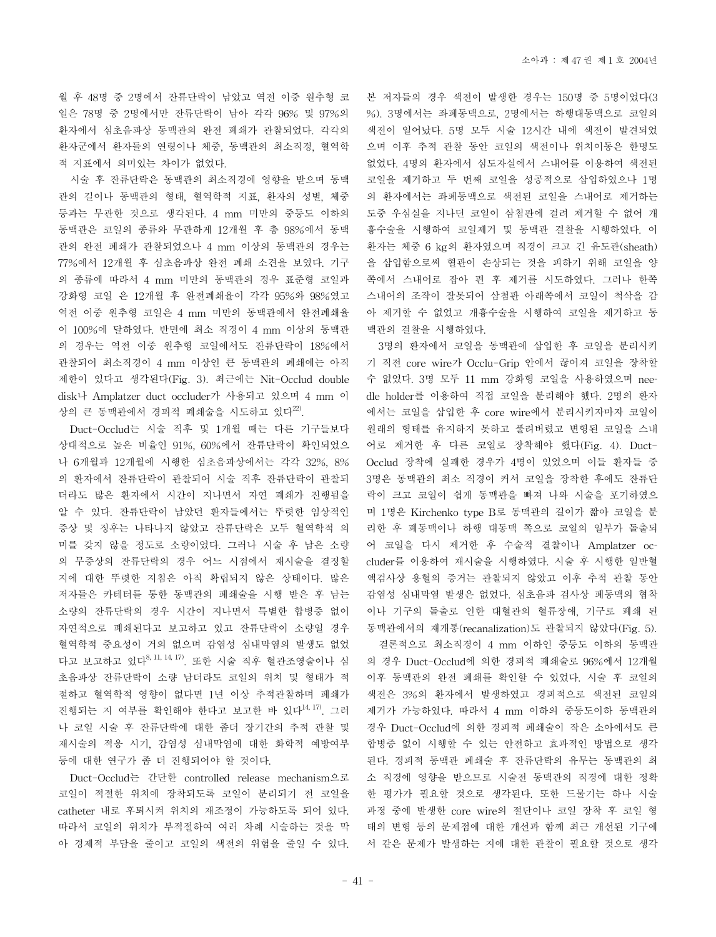월 후 48명 중 2명에서 잔류단락이 남았고 역전 이중 원추형 코 일은 78명 중 2명에서만 잔류단락이 남아 각각 96% 및 97%의 환자에서 심초음파상 동맥관의 완전 폐쇄가 관찰되었다. 각각의 환자군에서 환자들의 연령이나 체중, 동맥관의 최소직경, 혈역학 적 지표에서 의미있는 차이가 없었다.

시술 후 잔류단락은 동맥관의 최소직경에 영향을 받으며 동맥 관의 길이나 동맥관의 형태, 혈역학적 지표, 환자의 성별, 체중 등과는 무관한 것으로 생각된다. 4 mm 미만의 중등도 이하의 동맥관은 코일의 종류와 무관하게 12개월 후 총 98%에서 동맥 관의 완전 폐쇄가 관찰되었으나 4 mm 이상의 동맥관의 경우는 77%에서 12개월 후 심초음파상 완전 폐쇄 소견을 보였다. 기구 의 종류에 따라서 4 mm 미만의 동맥관의 경우 표준형 코일과 강화형 코일 은 12개월 후 완전폐쇄율이 각각 95%와 98%였고 역전 이중 원추형 코일은 4 mm 미만의 동맥관에서 완전폐쇄율 이 100%에 달하였다. 반면에 최소 직경이 4 mm 이상의 동맥관 의 경우는 역전 이중 원추형 코일에서도 잔류단락이 18%에서 관찰되어 최소직경이 4 mm 이상인 큰 동맥관의 폐쇄에는 아직 제한이 있다고 생각된다(Fig. 3). 최근에는 Nit-Occlud double disk나 Amplatzer duct occluder가 사용되고 있으며 4 mm 이 상의 큰 동맥관에서 경피적 폐쇄술을 시도하고 있다<sup>22</sup>.

Duct-Occlud는 시술 직후 및 1개월 때는 다른 기구들보다 상대적으로 높은 비율인 91%, 60%에서 잔류단락이 확인되었으 나 6개월과 12개월에 시행한 심초음파상에서는 각각 32%, 8% 의 환자에서 잔류단락이 관찰되어 시술 직후 잔류단락이 관찰되 더라도 많은 환자에서 시간이 지나면서 자연 폐쇄가 진행됨을 알 수 있다. 잔류단락이 남았던 환자들에서는 뚜렷한 임상적인 증상 및 징후는 나타나지 않았고 잔류단락은 모두 혈역학적 의 미를 갖지 않을 정도로 소량이었다. 그러나 시술 후 남은 소량 의 무증상의 잔류단락의 경우 어느 시점에서 재시술을 결정할 지에 대한 뚜렷한 지침은 아직 확립되지 않은 상태이다. 많은 저자들은 카테터를 통한 동맥관의 폐쇄술을 시행 받은 후 남는 소량의 잔류단락의 경우 시간이 지나면서 특별한 합병증 없이 자연적으로 폐쇄된다고 보고하고 있고 잔류단락이 소량일 경우 혈역학적 중요성이 거의 없으며 감염성 심내막염의 발생도 없었 다고 보고하고 있다8, 11, 14, 17). 또한 시술 직후 혈관조영술이나 심 초음파상 잔류단락이 소량 남더라도 코일의 위치 및 형태가 적 절하고 혈역학적 영향이 없다면 1년 이상 추적관찰하며 폐쇄가 진행되는 지 여부를 확인해야 한다고 보고한 바 있다14, 17). 그러 나 코일 시술 후 잔류단락에 대한 좀더 장기간의 추적 관찰 및 재시술의 적응 시기, 감염성 심내막염에 대한 화학적 예방여부 등에 대한 연구가 좀 더 진행되어야 할 것이다.

Duct-Occlud는 간단한 controlled release mechanism으로 코일이 적절한 위치에 장착되도록 코일이 분리되기 전 코일을 catheter 내로 후퇴시켜 위치의 재조정이 가능하도록 되어 있다. 따라서 코일의 위치가 부적절하여 여러 차례 시술하는 것을 막 아 경제적 부담을 줄이고 코일의 색전의 위험을 줄일 수 있다. 본 저자들의 경우 색전이 발생한 경우는 150명 중 5명이었다(3 %). 3명에서는 좌폐동맥으로, 2명에서는 하행대동맥으로 코일의 색전이 일어났다. 5명 모두 시술 12시간 내에 색전이 발견되었 으며 이후 추적 관찰 동안 코일의 색전이나 위치이동은 한명도 없었다. 4명의 환자에서 심도자실에서 스내어를 이용하여 색전된 코일을 제거하고 두 번째 코일을 성공적으로 삽입하였으나 1명 의 환자에서는 좌폐동맥으로 색전된 코일을 스내어로 제거하는 도중 우심실을 지나던 코일이 삼첨판에 걸려 제거할 수 없어 개 흉수술을 시행하여 코일제거 및 동맥관 결찰을 시행하였다. 이 환자는 체중 6 kg의 환자였으며 직경이 크고 긴 유도관(sheath) 을 삽입함으로써 혈관이 손상되는 것을 피하기 위해 코일을 양 쪽에서 스내어로 잡아 편 후 제거를 시도하였다. 그러나 한쪽 스내어의 조작이 잘못되어 삼첨판 아래쪽에서 코일이 척삭을 감 아 제거할 수 없었고 개흉수술을 시행하여 코일을 제거하고 동 맥관의 결찰을 시행하였다.

3명의 환자에서 코일을 동맥관에 삽입한 후 코일을 분리시키 기 직전 core wire가 Occlu-Grip 안에서 끊어져 코일을 장착할 수 없었다. 3명 모두 11 mm 강화형 코일을 사용하였으며 needle holder를 이용하여 직접 코일을 분리해야 했다. 2명의 환자 에서는 코일을 삽입한 후 core wire에서 분리시키자마자 코일이 원래의 형태를 유지하지 못하고 풀려버렸고 변형된 코일을 스내 어로 제거한 후 다른 코일로 장착해야 했다(Fig. 4). Duct-Occlud 장착에 실패한 경우가 4명이 있었으며 이들 환자들 중 3명은 동맥관의 최소 직경이 커서 코일을 장착한 후에도 잔류단 락이 크고 코일이 쉽게 동맥관을 빠져 나와 시술을 포기하였으 며 1명은 Kirchenko type B로 동맥관의 길이가 짧아 코일을 분 리한 후 폐동맥이나 하행 대동맥 쪽으로 코일의 일부가 돌출되 어 코일을 다시 제거한 후 수술적 결찰이나 Amplatzer occluder를 이용하여 재시술을 시행하였다. 시술 후 시행한 일반혈 액검사상 용혈의 증거는 관찰되지 않았고 이후 추적 관찰 동안 감염성 심내막염 발생은 없었다. 심초음파 검사상 폐동맥의 협착 이나 기구의 돌출로 인한 대혈관의 혈류장애, 기구로 폐쇄 된 동맥관에서의 재개통(recanalization)도 관찰되지 않았다(Fig. 5).

결론적으로 최소직경이 4 mm 이하인 중등도 이하의 동맥관 의 경우 Duct-Occlud에 의한 경피적 폐쇄술로 96%에서 12개월 이후 동맥관의 완전 폐쇄를 확인할 수 있었다. 시술 후 코일의 색전은 3%의 환자에서 발생하였고 경피적으로 색전된 코일의 제거가 가능하였다. 따라서 4 mm 이하의 중등도이하 동맥관의 경우 Duct-Occlud에 의한 경피적 폐쇄술이 작은 소아에서도 큰 합병증 없이 시행할 수 있는 안전하고 효과적인 방법으로 생각 된다. 경피적 동맥관 폐쇄술 후 잔류단락의 유무는 동맥관의 최 소 직경에 영향을 받으므로 시술전 동맥관의 직경에 대한 정확 한 평가가 필요할 것으로 생각된다. 또한 드물기는 하나 시술 과정 중에 발생한 core wire의 절단이나 코일 장착 후 코일 형 태의 변형 등의 문제점에 대한 개선과 함께 최근 개선된 기구에 서 같은 문제가 발생하는 지에 대한 관찰이 필요할 것으로 생각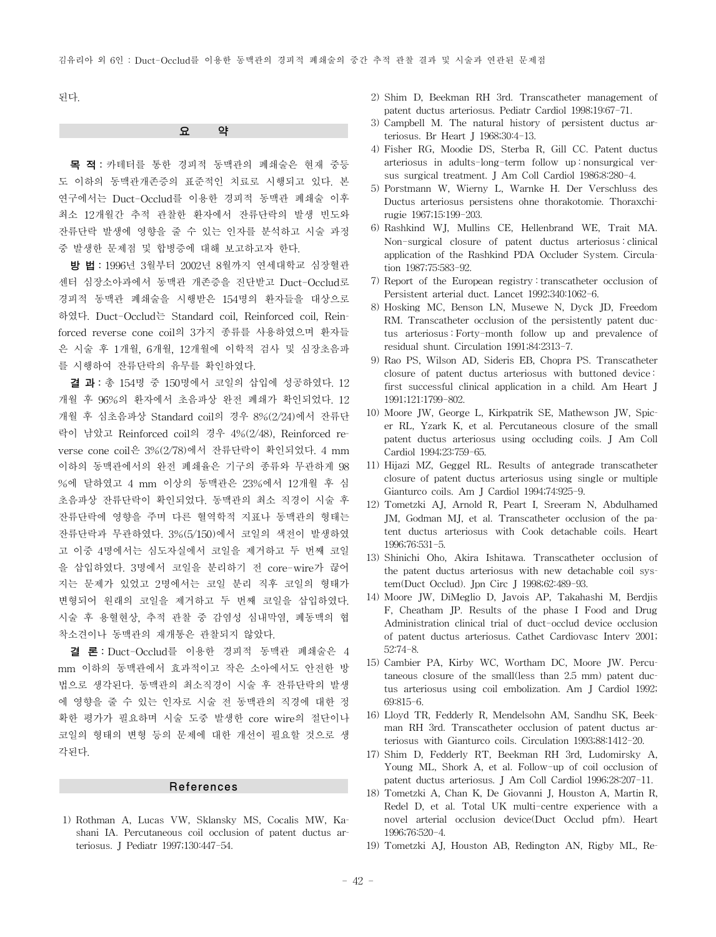된다.

#### 요 약

목 적: 카테터를 통한 경피적 동맥관의 폐쇄술은 현재 중등 도 이하의 동맥관개존증의 표준적인 치료로 시행되고 있다. 본 연구에서는 Duct-Occlud를 이용한 경피적 동맥관 폐쇄술 이후 최소 12개월간 추적 관찰한 환자에서 잔류단락의 발생 빈도와 잔류단락 발생에 영향을 줄 수 있는 인자를 분석하고 시술 과정 중 발생한 문제점 및 합병증에 대해 보고하고자 한다.

방 법: 1996년 3월부터 2002년 8월까지 연세대학교 심장혈관 센터 심장소아과에서 동맥관 개존증을 진단받고 Duct-Occlud로 경피적 동맥관 폐쇄술을 시행받은 154명의 환자들을 대상으로 하였다. Duct-Occlud는 Standard coil, Reinforced coil, Reinforced reverse cone coil의 3가지 종류를 사용하였으며 환자들 은 시술 후 1개월, 6개월, 12개월에 이학적 검사 및 심장초음파 를 시행하여 잔류단락의 유무를 확인하였다.

결 과: 총 154명 중 150명에서 코일의 삽입에 성공하였다. 12 개월 후 96%의 환자에서 초음파상 완전 폐쇄가 확인되었다. 12 개월 후 심초음파상 Standard coil의 경우 8%(2/24)에서 잔류단 락이 남았고 Reinforced coil의 경우 4%(2/48), Reinforced reverse cone coil은 3%(2/78)에서 잔류단락이 확인되었다. 4 mm 이하의 동맥관에서의 완전 폐쇄율은 기구의 종류와 무관하게 98 %에 달하였고 4 mm 이상의 동맥관은 23%에서 12개월 후 심 초음파상 잔류단락이 확인되었다. 동맥관의 최소 직경이 시술 후 잔류단락에 영향을 주며 다른 혈역학적 지표나 동맥관의 형태는 잔류단락과 무관하였다. 3%(5/150)에서 코일의 색전이 발생하였 고 이중 4명에서는 심도자실에서 코일을 제거하고 두 번째 코일 을 삽입하였다. 3명에서 코일을 분리하기 전 core-wire가 끊어 지는 문제가 있었고 2명에서는 코일 분리 직후 코일의 형태가 변형되어 원래의 코일을 제거하고 두 번째 코일을 삽입하였다. 시술 후 용혈현상, 추적 관찰 중 감염성 심내막염, 폐동맥의 협 착소견이나 동맥관의 재개통은 관찰되지 않았다.

결 론: Duct-Occlud를 이용한 경피적 동맥관 폐쇄술은 4 mm 이하의 동맥관에서 효과적이고 작은 소아에서도 안전한 방 법으로 생각된다. 동맥관의 최소직경이 시술 후 잔류단락의 발생 에 영향을 줄 수 있는 인자로 시술 전 동맥관의 직경에 대한 정 확한 평가가 필요하며 시술 도중 발생한 core wire의 절단이나 코일의 형태의 변형 등의 문제에 대한 개선이 필요할 것으로 생 각된다.

#### References

1) Rothman A, Lucas VW, Sklansky MS, Cocalis MW, Kashani IA. Percutaneous coil occlusion of patent ductus arteriosus. J Pediatr 1997;130:447-54.

- 2) Shim D, Beekman RH 3rd. Transcatheter management of patent ductus arteriosus. Pediatr Cardiol 1998;19:67-71.
- 3) Campbell M. The natural history of persistent ductus arteriosus. Br Heart J 1968;30:4-13.
- 4) Fisher RG, Moodie DS, Sterba R, Gill CC. Patent ductus arteriosus in adults-long-term follow up : nonsurgical versus surgical treatment. J Am Coll Cardiol 1986;8:280-4.
- 5) Porstmann W, Wierny L, Warnke H. Der Verschluss des Ductus arteriosus persistens ohne thorakotomie. Thoraxchirugie 1967;15:199-203.
- 6) Rashkind WJ, Mullins CE, Hellenbrand WE, Trait MA. Non-surgical closure of patent ductus arteriosus : clinical application of the Rashkind PDA Occluder System. Circulation 1987;75:583-92.
- 7) Report of the European registry : transcatheter occlusion of Persistent arterial duct. Lancet 1992;340:1062-6.
- 8) Hosking MC, Benson LN, Musewe N, Dyck JD, Freedom RM. Transcatheter occlusion of the persistently patent ductus arteriosus : Forty-month follow up and prevalence of residual shunt. Circulation 1991;84:2313-7.
- 9) Rao PS, Wilson AD, Sideris EB, Chopra PS. Transcatheter closure of patent ductus arteriosus with buttoned device : first successful clinical application in a child. Am Heart J 1991;121:1799-802.
- 10) Moore JW, George L, Kirkpatrik SE, Mathewson JW, Spicer RL, Yzark K, et al. Percutaneous closure of the small patent ductus arteriosus using occluding coils. J Am Coll Cardiol 1994;23:759-65.
- 11) Hijazi MZ, Geggel RL. Results of antegrade transcatheter closure of patent ductus arteriosus using single or multiple Gianturco coils. Am J Cardiol 1994;74:925-9.
- 12) Tometzki AJ, Arnold R, Peart I, Sreeram N, Abdulhamed JM, Godman MJ, et al. Transcatheter occlusion of the patent ductus arteriosus with Cook detachable coils. Heart 1996;76:531-5.
- 13) Shinichi Oho, Akira Ishitawa. Transcatheter occlusion of the patent ductus arteriosus with new detachable coil system(Duct Occlud). Jpn Circ J 1998;62:489-93.
- 14) Moore JW, DiMeglio D, Javois AP, Takahashi M, Berdjis F, Cheatham JP. Results of the phase I Food and Drug Administration clinical trial of duct-occlud device occlusion of patent ductus arteriosus. Cathet Cardiovasc Interv 2001; 52:74-8.
- 15) Cambier PA, Kirby WC, Wortham DC, Moore JW. Percutaneous closure of the small(less than 2.5 mm) patent ductus arteriosus using coil embolization. Am J Cardiol 1992; 69:815-6.
- 16) Lloyd TR, Fedderly R, Mendelsohn AM, Sandhu SK, Beekman RH 3rd. Transcatheter occlusion of patent ductus arteriosus with Gianturco coils. Circulation 1993;88:1412-20.
- 17) Shim D, Fedderly RT, Beekman RH 3rd, Ludomirsky A, Young ML, Shork A, et al. Follow-up of coil occlusion of patent ductus arteriosus. J Am Coll Cardiol 1996;28:207-11.
- 18) Tometzki A, Chan K, De Giovanni J, Houston A, Martin R, Redel D, et al. Total UK multi-centre experience with a novel arterial occlusion device(Duct Occlud pfm). Heart 1996;76:520-4.
- 19) Tometzki AJ, Houston AB, Redington AN, Rigby ML, Re-